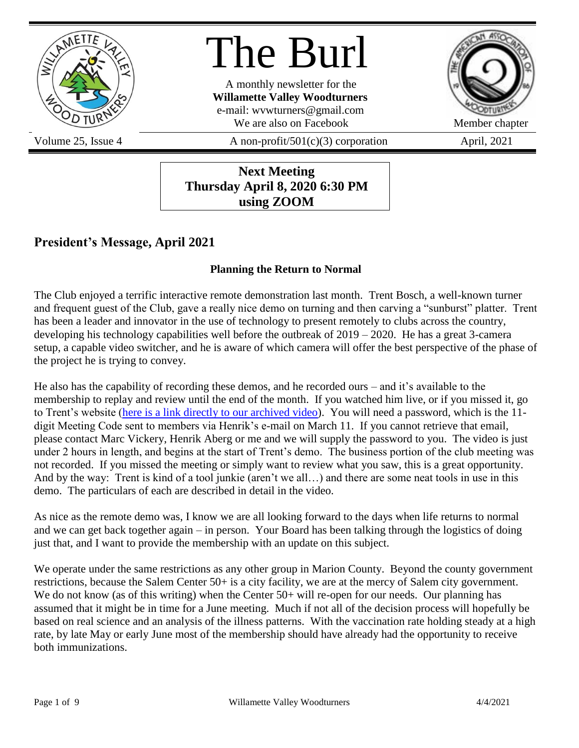

# The Burl

A monthly newsletter for the **Willamette Valley Woodturners** e-mail: wvwturners@gmail.com We are also on Facebook Member chapter



Volume 25, Issue 4  $\alpha$  A non-profit/501(c)(3) corporation April, 2021

### **Next Meeting Thursday April 8, 2020 6:30 PM using ZOOM**

## **President's Message, April 2021**

### **Planning the Return to Normal**

The Club enjoyed a terrific interactive remote demonstration last month. Trent Bosch, a well-known turner and frequent guest of the Club, gave a really nice demo on turning and then carving a "sunburst" platter. Trent has been a leader and innovator in the use of technology to present remotely to clubs across the country, developing his technology capabilities well before the outbreak of  $2019 - 2020$ . He has a great 3-camera setup, a capable video switcher, and he is aware of which camera will offer the best perspective of the phase of the project he is trying to convey.

He also has the capability of recording these demos, and he recorded ours – and it's available to the membership to replay and review until the end of the month. If you watched him live, or if you missed it, go to Trent's website [\(here is a link directly to our archived video\)](https://trentboschtools.com/archived-march-11th-sunburst-platter-demo-willamette-valley-woodturners/). You will need a password, which is the 11 digit Meeting Code sent to members via Henrik's e-mail on March 11. If you cannot retrieve that email, please contact Marc Vickery, Henrik Aberg or me and we will supply the password to you. The video is just under 2 hours in length, and begins at the start of Trent's demo. The business portion of the club meeting was not recorded. If you missed the meeting or simply want to review what you saw, this is a great opportunity. And by the way: Trent is kind of a tool junkie (aren't we all…) and there are some neat tools in use in this demo. The particulars of each are described in detail in the video.

As nice as the remote demo was, I know we are all looking forward to the days when life returns to normal and we can get back together again – in person. Your Board has been talking through the logistics of doing just that, and I want to provide the membership with an update on this subject.

We operate under the same restrictions as any other group in Marion County. Beyond the county government restrictions, because the Salem Center 50+ is a city facility, we are at the mercy of Salem city government. We do not know (as of this writing) when the Center 50+ will re-open for our needs. Our planning has assumed that it might be in time for a June meeting. Much if not all of the decision process will hopefully be based on real science and an analysis of the illness patterns. With the vaccination rate holding steady at a high rate, by late May or early June most of the membership should have already had the opportunity to receive both immunizations.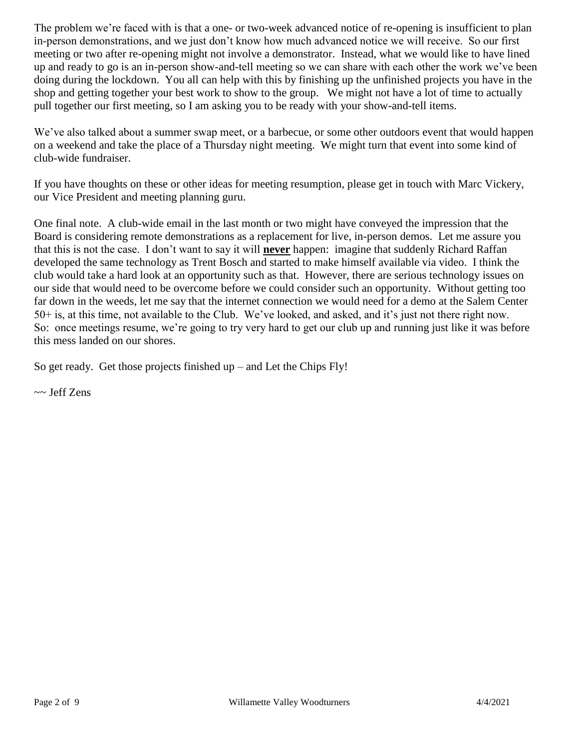The problem we're faced with is that a one- or two-week advanced notice of re-opening is insufficient to plan in-person demonstrations, and we just don't know how much advanced notice we will receive. So our first meeting or two after re-opening might not involve a demonstrator. Instead, what we would like to have lined up and ready to go is an in-person show-and-tell meeting so we can share with each other the work we've been doing during the lockdown. You all can help with this by finishing up the unfinished projects you have in the shop and getting together your best work to show to the group. We might not have a lot of time to actually pull together our first meeting, so I am asking you to be ready with your show-and-tell items.

We've also talked about a summer swap meet, or a barbecue, or some other outdoors event that would happen on a weekend and take the place of a Thursday night meeting. We might turn that event into some kind of club-wide fundraiser.

If you have thoughts on these or other ideas for meeting resumption, please get in touch with Marc Vickery, our Vice President and meeting planning guru.

One final note. A club-wide email in the last month or two might have conveyed the impression that the Board is considering remote demonstrations as a replacement for live, in-person demos. Let me assure you that this is not the case. I don't want to say it will **never** happen: imagine that suddenly Richard Raffan developed the same technology as Trent Bosch and started to make himself available via video. I think the club would take a hard look at an opportunity such as that. However, there are serious technology issues on our side that would need to be overcome before we could consider such an opportunity. Without getting too far down in the weeds, let me say that the internet connection we would need for a demo at the Salem Center 50+ is, at this time, not available to the Club. We've looked, and asked, and it's just not there right now. So: once meetings resume, we're going to try very hard to get our club up and running just like it was before this mess landed on our shores.

So get ready. Get those projects finished up – and Let the Chips Fly!

~~ Jeff Zens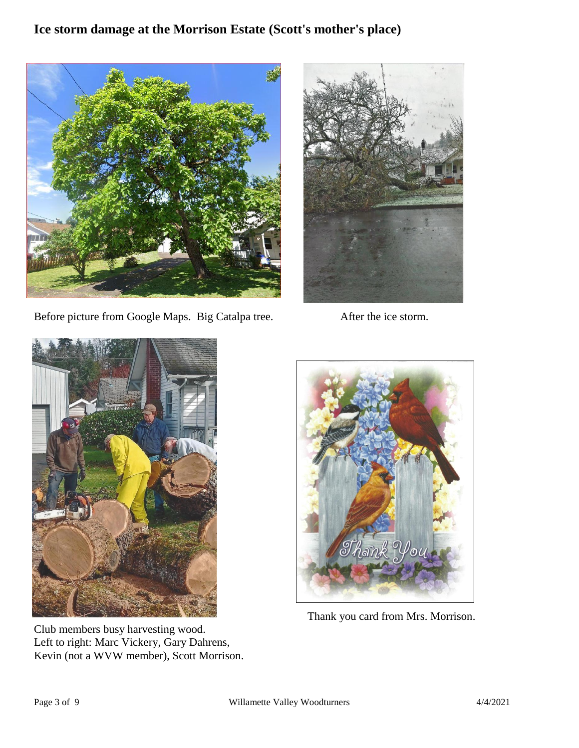## **Ice storm damage at the Morrison Estate (Scott's mother's place)**



Before picture from Google Maps. Big Catalpa tree. After the ice storm.





Club members busy harvesting wood. Left to right: Marc Vickery, Gary Dahrens, Kevin (not a WVW member), Scott Morrison.



Thank you card from Mrs. Morrison.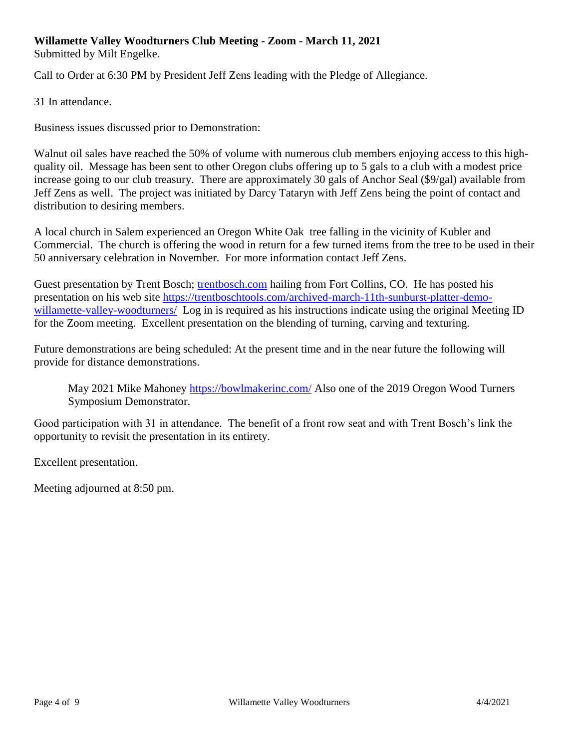#### **Willamette Valley Woodturners Club Meeting - Zoom - March 11, 2021** Submitted by Milt Engelke.

Call to Order at 6:30 PM by President Jeff Zens leading with the Pledge of Allegiance.

31 In attendance.

Business issues discussed prior to Demonstration:

Walnut oil sales have reached the 50% of volume with numerous club members enjoying access to this highquality oil. Message has been sent to other Oregon clubs offering up to 5 gals to a club with a modest price increase going to our club treasury. There are approximately 30 gals of Anchor Seal (\$9/gal) available from Jeff Zens as well. The project was initiated by Darcy Tataryn with Jeff Zens being the point of contact and distribution to desiring members.

A local church in Salem experienced an Oregon White Oak tree falling in the vicinity of Kubler and Commercial. The church is offering the wood in return for a few turned items from the tree to be used in their 50 anniversary celebration in November. For more information contact Jeff Zens.

Guest presentation by Trent Bosch; [trentbosch.com](https://trentbosch.com/) hailing from Fort Collins, CO. He has posted his presentation on his web site [https://trentboschtools.com/archived-march-11th-sunburst-platter-demo](https://trentboschtools.com/archived-march-11th-sunburst-platter-demo-willamette-valley-woodturners/)[willamette-valley-woodturners/](https://trentboschtools.com/archived-march-11th-sunburst-platter-demo-willamette-valley-woodturners/) Log in is required as his instructions indicate using the original Meeting ID for the Zoom meeting. Excellent presentation on the blending of turning, carving and texturing.

Future demonstrations are being scheduled: At the present time and in the near future the following will provide for distance demonstrations.

May 2021 Mike Mahoney<https://bowlmakerinc.com/> Also one of the 2019 Oregon Wood Turners Symposium Demonstrator.

Good participation with 31 in attendance. The benefit of a front row seat and with Trent Bosch's link the opportunity to revisit the presentation in its entirety.

Excellent presentation.

Meeting adjourned at 8:50 pm.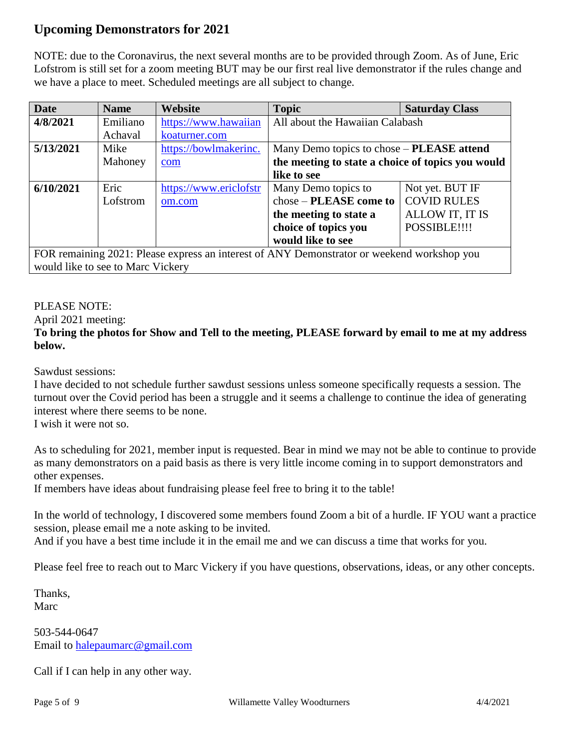### **Upcoming Demonstrators for 2021**

NOTE: due to the Coronavirus, the next several months are to be provided through Zoom. As of June, Eric Lofstrom is still set for a zoom meeting BUT may be our first real live demonstrator if the rules change and we have a place to meet. Scheduled meetings are all subject to change.

| <b>Date</b>                                                                                | <b>Name</b> | Website                | <b>Topic</b>                                      | <b>Saturday Class</b> |
|--------------------------------------------------------------------------------------------|-------------|------------------------|---------------------------------------------------|-----------------------|
| 4/8/2021                                                                                   | Emiliano    | https://www.hawaiian   | All about the Hawaiian Calabash                   |                       |
|                                                                                            | Achaval     | koaturner.com          |                                                   |                       |
| 5/13/2021                                                                                  | Mike        | https://bowlmakerinc.  | Many Demo topics to chose – PLEASE attend         |                       |
|                                                                                            | Mahoney     | com                    | the meeting to state a choice of topics you would |                       |
|                                                                                            |             |                        | like to see                                       |                       |
| 6/10/2021                                                                                  | Eric        | https://www.ericlofstr | Many Demo topics to                               | Not yet. BUT IF       |
|                                                                                            | Lofstrom    | om.com                 | chose – PLEASE come to                            | <b>COVID RULES</b>    |
|                                                                                            |             |                        | the meeting to state a                            | ALLOW IT, IT IS       |
|                                                                                            |             |                        | choice of topics you                              | POSSIBLE!!!!          |
|                                                                                            |             |                        | would like to see                                 |                       |
| FOR remaining 2021: Please express an interest of ANY Demonstrator or weekend workshop you |             |                        |                                                   |                       |

would like to see to Marc Vickery

### PLEASE NOTE:

April 2021 meeting:

### **To bring the photos for Show and Tell to the meeting, PLEASE forward by email to me at my address below.**

Sawdust sessions:

I have decided to not schedule further sawdust sessions unless someone specifically requests a session. The turnout over the Covid period has been a struggle and it seems a challenge to continue the idea of generating interest where there seems to be none.

I wish it were not so.

As to scheduling for 2021, member input is requested. Bear in mind we may not be able to continue to provide as many demonstrators on a paid basis as there is very little income coming in to support demonstrators and other expenses.

If members have ideas about fundraising please feel free to bring it to the table!

In the world of technology, I discovered some members found Zoom a bit of a hurdle. IF YOU want a practice session, please email me a note asking to be invited.

And if you have a best time include it in the email me and we can discuss a time that works for you.

Please feel free to reach out to Marc Vickery if you have questions, observations, ideas, or any other concepts.

Thanks, Marc

503-544-0647 Email to [halepaumarc@gmail.com](mailto:halepaumarc@gmail.com)

Call if I can help in any other way.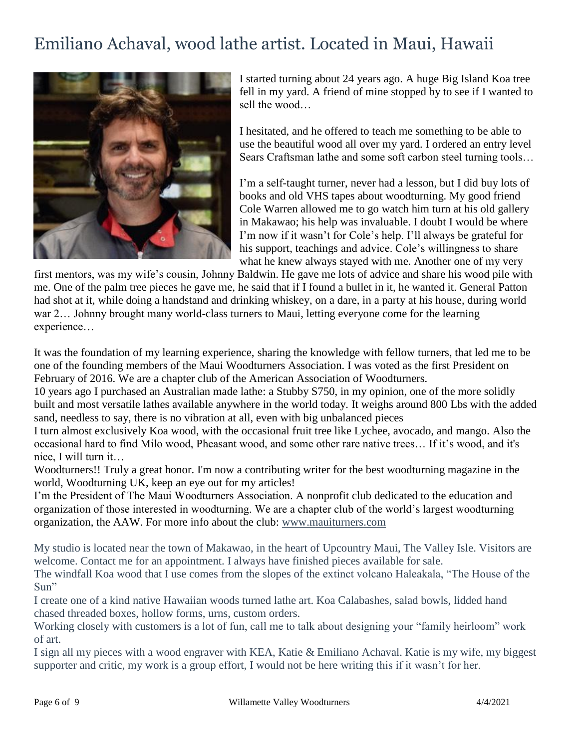# Emiliano Achaval, wood lathe artist. Located in Maui, Hawaii



I started turning about 24 years ago. A huge Big Island Koa tree fell in my yard. A friend of mine stopped by to see if I wanted to sell the wood…

I hesitated, and he offered to teach me something to be able to use the beautiful wood all over my yard. I ordered an entry level Sears Craftsman lathe and some soft carbon steel turning tools…

I'm a self-taught turner, never had a lesson, but I did buy lots of books and old VHS tapes about woodturning. My good friend Cole Warren allowed me to go watch him turn at his old gallery in Makawao; his help was invaluable. I doubt I would be where I'm now if it wasn't for Cole's help. I'll always be grateful for his support, teachings and advice. Cole's willingness to share what he knew always stayed with me. Another one of my very

first mentors, was my wife's cousin, Johnny Baldwin. He gave me lots of advice and share his wood pile with me. One of the palm tree pieces he gave me, he said that if I found a bullet in it, he wanted it. General Patton had shot at it, while doing a handstand and drinking whiskey, on a dare, in a party at his house, during world war 2… Johnny brought many world-class turners to Maui, letting everyone come for the learning experience…

It was the foundation of my learning experience, sharing the knowledge with fellow turners, that led me to be one of the founding members of the Maui Woodturners Association. I was voted as the first President on February of 2016. We are a chapter club of the American Association of Woodturners.

10 years ago I purchased an Australian made lathe: a Stubby S750, in my opinion, one of the more solidly built and most versatile lathes available anywhere in the world today. It weighs around 800 Lbs with the added sand, needless to say, there is no vibration at all, even with big unbalanced pieces

I turn almost exclusively Koa wood, with the occasional fruit tree like Lychee, avocado, and mango. Also the occasional hard to find Milo wood, Pheasant wood, and some other rare native trees… If it's wood, and it's nice, I will turn it…

Woodturners!! Truly a great honor. I'm now a contributing writer for the best woodturning magazine in the world, Woodturning UK, keep an eye out for my articles!

I'm the President of The Maui Woodturners Association. A nonprofit club dedicated to the education and organization of those interested in woodturning. We are a chapter club of the world's largest woodturning organization, the AAW. For more info about the club: [www.mauiturners.com](http://www.mauiturners.com/)

My studio is located near the town of Makawao, in the heart of Upcountry Maui, The Valley Isle. Visitors are welcome. Contact me for an appointment. I always have finished pieces available for sale.

The windfall Koa wood that I use comes from the slopes of the extinct volcano Haleakala, "The House of the Sun"

I create one of a kind native Hawaiian woods turned lathe art. Koa Calabashes, salad bowls, lidded hand chased threaded boxes, hollow forms, urns, custom orders.

Working closely with customers is a lot of fun, call me to talk about designing your "family heirloom" work of art.

I sign all my pieces with a wood engraver with KEA, Katie & Emiliano Achaval. Katie is my wife, my biggest supporter and critic, my work is a group effort, I would not be here writing this if it wasn't for her.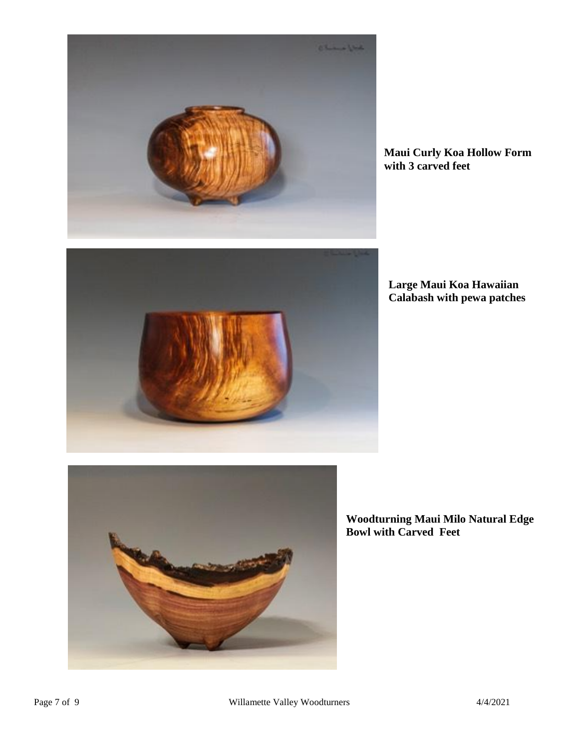

**Maui Curly Koa Hollow Form with 3 carved feet**



**Large Maui Koa Hawaiian Calabash with pewa patches**



**Woodturning Maui Milo Natural Edge Bowl with Carved Feet**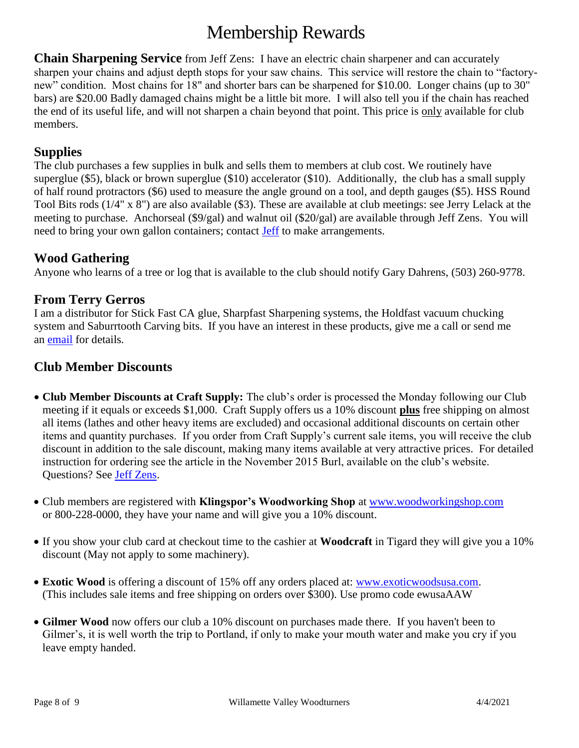# Membership Rewards

**Chain Sharpening Service** from Jeff Zens: I have an electric chain sharpener and can accurately sharpen your chains and adjust depth stops for your saw chains. This service will restore the chain to "factorynew" condition. Most chains for 18" and shorter bars can be sharpened for \$10.00. Longer chains (up to 30" bars) are \$20.00 Badly damaged chains might be a little bit more. I will also tell you if the chain has reached the end of its useful life, and will not sharpen a chain beyond that point. This price is only available for club members.

### **Supplies**

The club purchases a few supplies in bulk and sells them to members at club cost. We routinely have superglue (\$5), black or brown superglue (\$10) accelerator (\$10). Additionally, the club has a small supply of half round protractors (\$6) used to measure the angle ground on a tool, and depth gauges (\$5). HSS Round Tool Bits rods (1/4" x 8") are also available (\$3). These are available at club meetings: see Jerry Lelack at the meeting to purchase. Anchorseal (\$9/gal) and walnut oil (\$20/gal) are available through Jeff Zens. You will need to bring your own gallon containers; contact [Jeff](mailto:PrezWVW@gmail.com) to make arrangements.

### **Wood Gathering**

Anyone who learns of a tree or log that is available to the club should notify Gary Dahrens, (503) 260-9778.

### **From Terry Gerros**

I am a distributor for Stick Fast CA glue, Sharpfast Sharpening systems, the Holdfast vacuum chucking system and Saburrtooth Carving bits. If you have an interest in these products, give me a call or send me an **email** for details.

### **Club Member Discounts**

- **Club Member Discounts at Craft Supply:** The club's order is processed the Monday following our Club meeting if it equals or exceeds \$1,000. Craft Supply offers us a 10% discount **plus** free shipping on almost all items (lathes and other heavy items are excluded) and occasional additional discounts on certain other items and quantity purchases. If you order from Craft Supply's current sale items, you will receive the club discount in addition to the sale discount, making many items available at very attractive prices. For detailed instruction for ordering see the article in the November 2015 Burl, available on the club's website. Questions? See [Jeff Zens.](mailto:PrezWVW@gmail.com)
- Club members are registered with **Klingspor's Woodworking Shop** at [www.woodworkingshop.com](http://www.woodworkingshop.com/)  or 800-228-0000, they have your name and will give you a 10% discount.
- If you show your club card at checkout time to the cashier at **Woodcraft** in Tigard they will give you a 10% discount (May not apply to some machinery).
- **Exotic Wood** is offering a discount of 15% off any orders placed at: [www.exoticwoodsusa.com.](http://www.exoticwoodsusa.com/) (This includes sale items and free shipping on orders over \$300). Use promo code ewusaAAW
- **Gilmer Wood** now offers our club a 10% discount on purchases made there. If you haven't been to Gilmer's, it is well worth the trip to Portland, if only to make your mouth water and make you cry if you leave empty handed.